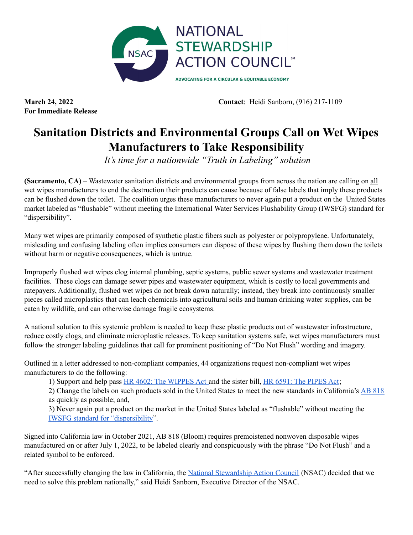

**For Immediate Release**

**March 24, 2022 Contact**: Heidi Sanborn, (916) 217-1109

## **Sanitation Districts and Environmental Groups Call on Wet Wipes Manufacturers to Take Responsibility**

*It's time for a nationwide "Truth in Labeling" solution*

**(Sacramento, CA)** – Wastewater sanitation districts and environmental groups from across the nation are calling on all wet wipes manufacturers to end the destruction their products can cause because of false labels that imply these products can be flushed down the toilet. The coalition urges these manufacturers to never again put a product on the United States market labeled as "flushable" without meeting the International Water Services Flushability Group (IWSFG) standard for "dispersibility".

Many wet wipes are primarily composed of synthetic plastic fibers such as polyester or polypropylene. Unfortunately, misleading and confusing labeling often implies consumers can dispose of these wipes by flushing them down the toilets without harm or negative consequences, which is untrue.

Improperly flushed wet wipes clog internal plumbing, septic systems, public sewer systems and wastewater treatment facilities. These clogs can damage sewer pipes and wastewater equipment, which is costly to local governments and ratepayers. Additionally, flushed wet wipes do not break down naturally; instead, they break into continuously smaller pieces called microplastics that can leach chemicals into agricultural soils and human drinking water supplies, can be eaten by wildlife, and can otherwise damage fragile ecosystems.

A national solution to this systemic problem is needed to keep these plastic products out of wastewater infrastructure, reduce costly clogs, and eliminate microplastic releases. To keep sanitation systems safe, wet wipes manufacturers must follow the stronger labeling guidelines that call for prominent positioning of "Do Not Flush" wording and imagery.

Outlined in a letter addressed to non-compliant companies, 44 organizations request non-compliant wet wipes manufacturers to do the following:

1) Support and help pass HR 4602: The [WIPPES](https://www.congress.gov/bill/117th-congress/house-bill/4602?s=1&r=4) Act and the sister bill, HR 6591: The [PIPES](https://www.congress.gov/bill/117th-congress/house-bill/6591) Act;

2) Change the labels on such products sold in the United States to meet the new standards in California's AB [818](https://leginfo.legislature.ca.gov/faces/billTextClient.xhtml?bill_id=202120220AB818) as quickly as possible; and,

3) Never again put a product on the market in the United States labeled as "flushable" without meeting the IWSFG standard for ["dispersibility"](https://www.iwsfg.org/iwsfg-flushability-specification/).

Signed into California law in October 2021, AB 818 (Bloom) requires premoistened nonwoven disposable wipes manufactured on or after July 1, 2022, to be labeled clearly and conspicuously with the phrase "Do Not Flush" and a related symbol to be enforced.

"After successfully changing the law in California, the National [Stewardship](http://www.nsaction.us) Action Council (NSAC) decided that we need to solve this problem nationally," said Heidi Sanborn, Executive Director of the NSAC.